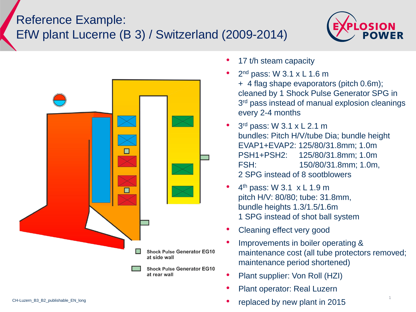## Reference Example: EfW plant Lucerne (B 3) / Switzerland (2009-2014)





- 17 t/h steam capacity
- 2<sup>nd</sup> pass: W  $3.1 \times L$  1.6 m + 4 flag shape evaporators (pitch 0.6m); cleaned by 1 Shock Pulse Generator SPG in 3<sup>rd</sup> pass instead of manual explosion cleanings every 2-4 months
- $\cdot$  3<sup>rd</sup> pass: W 3.1 x L 2.1 m bundles: Pitch H/V/tube Dia; bundle height EVAP1+EVAP2: 125/80/31.8mm; 1.0m PSH1+PSH2: 125/80/31.8mm; 1.0m FSH: 150/80/31.8mm; 1.0m, 2 SPG instead of 8 sootblowers
- $\bullet$  4<sup>th</sup> pass: W 3.1  $\times$  L 1.9 m pitch H/V: 80/80; tube: 31.8mm, bundle heights 1.3/1.5/1.6m 1 SPG instead of shot ball system
- Cleaning effect very good
- Improvements in boiler operating & maintenance cost (all tube protectors removed; maintenance period shortened)
- Plant supplier: Von Roll (HZI)
- Plant operator: Real Luzern
- replaced by new plant in 2015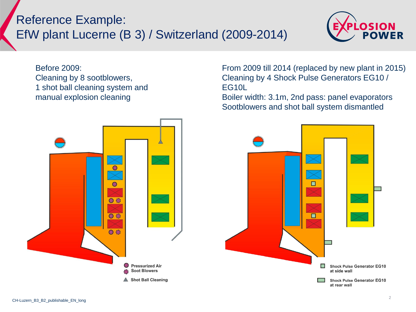## Reference Example: EfW plant Lucerne (B 3) / Switzerland (2009-2014)



Before 2009: Cleaning by 8 sootblowers, 1 shot ball cleaning system and manual explosion cleaning



From 2009 till 2014 (replaced by new plant in 2015) Cleaning by 4 Shock Pulse Generators EG10 / EG10L

Boiler width: 3.1m, 2nd pass: panel evaporators Sootblowers and shot ball system dismantled

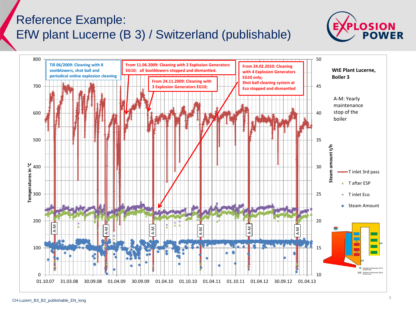## Reference Example: EfW plant Lucerne (B 3) / Switzerland (publishable)



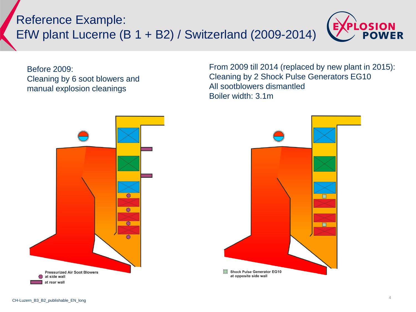Reference Example: EfW plant Lucerne (B 1 + B2) / Switzerland (2009-2014)



Before 2009: Cleaning by 6 soot blowers and manual explosion cleanings

From 2009 till 2014 (replaced by new plant in 2015): Cleaning by 2 Shock Pulse Generators EG10 All sootblowers dismantled Boiler width: 3.1m